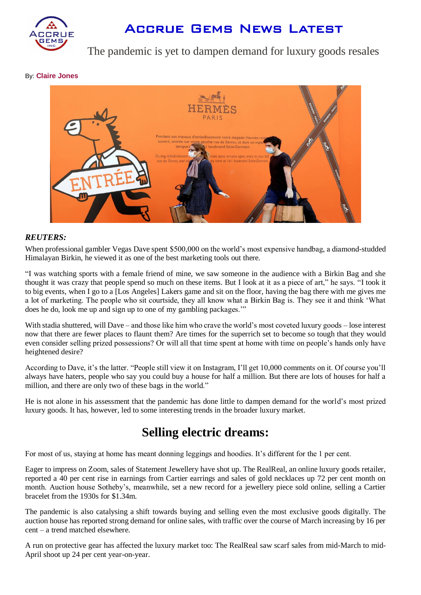

# Accrue Gems News Latest

### The pandemic is yet to dampen demand for luxury goods resales

By: **[Claire Jones](https://ftalphaville.ft.com/author/Claire%20Jones)**



#### *REUTERS:*

When professional gambler Vegas Dave spent \$500,000 on the world's most expensive handbag, a diamond-studded Himalayan Birkin, he viewed it as one of the best marketing tools out there.

"I was watching sports with a female friend of mine, we saw someone in the audience with a Birkin Bag and she thought it was crazy that people spend so much on these items. But I look at it as a piece of art," he says. "I took it to big events, when I go to a [Los Angeles] Lakers game and sit on the floor, having the bag there with me gives me a lot of marketing. The people who sit courtside, they all know what a Birkin Bag is. They see it and think 'What does he do, look me up and sign up to one of my gambling packages.'"

With stadia shuttered, will Dave – and those like him who crave the world's most coveted luxury goods – lose interest now that there are fewer places to flaunt them? Are times for the superrich set to become so tough that they would even consider selling prized possessions? Or will all that time spent at home with time on people's hands only have heightened desire?

According to Dave, it's the latter. "People still view it on Instagram, I'll get 10,000 comments on it. Of course you'll always have haters, people who say you could buy a house for half a million. But there are lots of houses for half a million, and there are only two of these bags in the world."

He is not alone in his assessment that the pandemic has done little to dampen demand for the world's most prized luxury goods. It has, however, led to some interesting trends in the broader luxury market.

## **Selling electric dreams:**

For most of us, staying at home has meant donning leggings and hoodies. It's different for the 1 per cent.

Eager to impress on Zoom, sales of Statement Jewellery have shot up. The RealReal, an online luxury goods retailer, reported a 40 per cent rise in earnings from Cartier earrings and sales of gold necklaces up 72 per cent month on month. Auction house Sotheby's, meanwhile, set a new record for a jewellery piece sold online, selling a Cartier bracelet from the 1930s for \$1.34m.

The pandemic is also catalysing a shift towards buying and selling even the most exclusive goods digitally. The auction house has reported strong demand for online sales, with traffic over the course of March increasing by 16 per cent – a trend matched elsewhere.

A run on protective gear has affected the luxury market too: The RealReal saw scarf sales from mid-March to mid-April shoot up 24 per cent year-on-year.